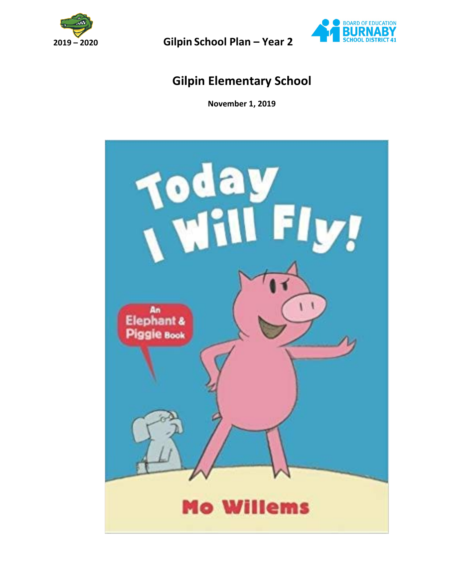



# **Gilpin Elementary School**

**November 1, 2019**

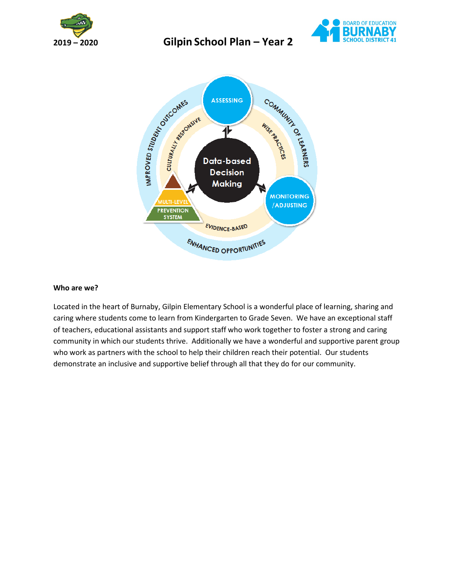





#### **Who are we?**

Located in the heart of Burnaby, Gilpin Elementary School is a wonderful place of learning, sharing and caring where students come to learn from Kindergarten to Grade Seven. We have an exceptional staff of teachers, educational assistants and support staff who work together to foster a strong and caring community in which our students thrive. Additionally we have a wonderful and supportive parent group who work as partners with the school to help their children reach their potential. Our students demonstrate an inclusive and supportive belief through all that they do for our community.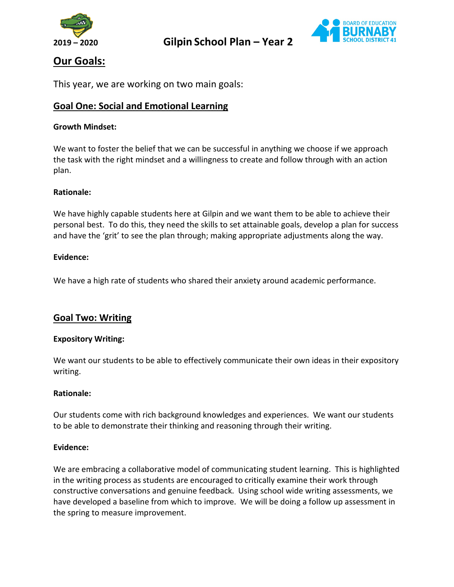



# **Our Goals:**

This year, we are working on two main goals:

## **Goal One: Social and Emotional Learning**

### **Growth Mindset:**

We want to foster the belief that we can be successful in anything we choose if we approach the task with the right mindset and a willingness to create and follow through with an action plan.

#### **Rationale:**

We have highly capable students here at Gilpin and we want them to be able to achieve their personal best. To do this, they need the skills to set attainable goals, develop a plan for success and have the 'grit' to see the plan through; making appropriate adjustments along the way.

### **Evidence:**

We have a high rate of students who shared their anxiety around academic performance.

## **Goal Two: Writing**

#### **Expository Writing:**

We want our students to be able to effectively communicate their own ideas in their expository writing.

#### **Rationale:**

Our students come with rich background knowledges and experiences. We want our students to be able to demonstrate their thinking and reasoning through their writing.

#### **Evidence:**

We are embracing a collaborative model of communicating student learning. This is highlighted in the writing process as students are encouraged to critically examine their work through constructive conversations and genuine feedback. Using school wide writing assessments, we have developed a baseline from which to improve. We will be doing a follow up assessment in the spring to measure improvement.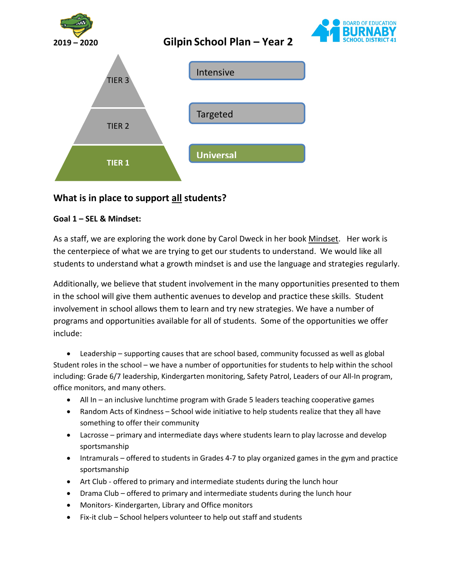

# **What is in place to support all students?**

### **Goal 1 – SEL & Mindset:**

As a staff, we are exploring the work done by Carol Dweck in her book Mindset. Her work is the centerpiece of what we are trying to get our students to understand. We would like all students to understand what a growth mindset is and use the language and strategies regularly.

Additionally, we believe that student involvement in the many opportunities presented to them in the school will give them authentic avenues to develop and practice these skills. Student involvement in school allows them to learn and try new strategies. We have a number of programs and opportunities available for all of students. Some of the opportunities we offer include:

• Leadership – supporting causes that are school based, community focussed as well as global Student roles in the school – we have a number of opportunities for students to help within the school including: Grade 6/7 leadership, Kindergarten monitoring, Safety Patrol, Leaders of our All-In program, office monitors, and many others.

- All In an inclusive lunchtime program with Grade 5 leaders teaching cooperative games
- Random Acts of Kindness School wide initiative to help students realize that they all have something to offer their community
- Lacrosse primary and intermediate days where students learn to play lacrosse and develop sportsmanship
- Intramurals offered to students in Grades 4-7 to play organized games in the gym and practice sportsmanship
- Art Club offered to primary and intermediate students during the lunch hour
- Drama Club offered to primary and intermediate students during the lunch hour
- Monitors- Kindergarten, Library and Office monitors
- Fix-it club School helpers volunteer to help out staff and students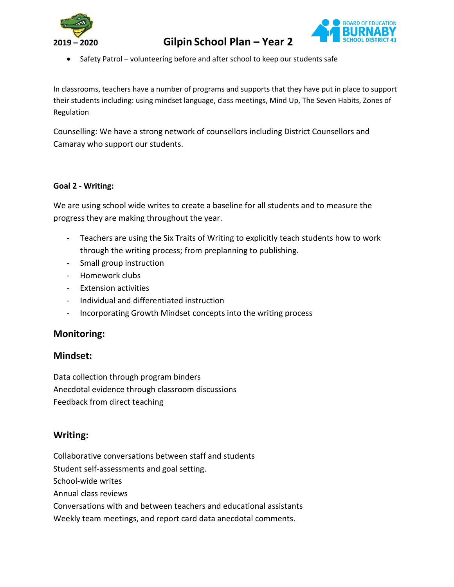



• Safety Patrol – volunteering before and after school to keep our students safe

In classrooms, teachers have a number of programs and supports that they have put in place to support their students including: using mindset language, class meetings, Mind Up, The Seven Habits, Zones of Regulation

Counselling: We have a strong network of counsellors including District Counsellors and Camaray who support our students.

### **Goal 2 - Writing:**

We are using school wide writes to create a baseline for all students and to measure the progress they are making throughout the year.

- Teachers are using the Six Traits of Writing to explicitly teach students how to work through the writing process; from preplanning to publishing.
- Small group instruction
- Homework clubs
- Extension activities
- Individual and differentiated instruction
- Incorporating Growth Mindset concepts into the writing process

## **Monitoring:**

### **Mindset:**

Data collection through program binders Anecdotal evidence through classroom discussions Feedback from direct teaching

## **Writing:**

Collaborative conversations between staff and students

Student self-assessments and goal setting.

School-wide writes

Annual class reviews

Conversations with and between teachers and educational assistants

Weekly team meetings, and report card data anecdotal comments.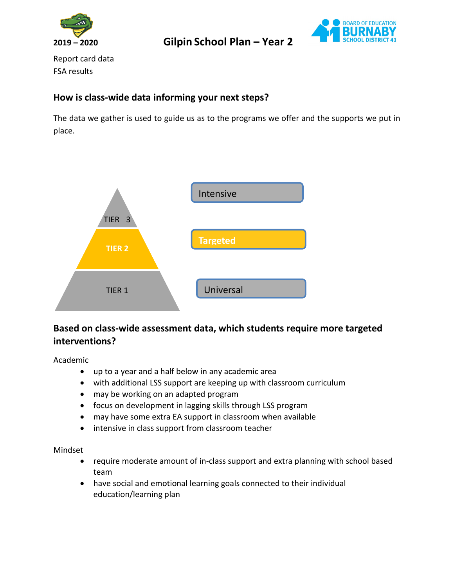



Report card data FSA results

## **How is class-wide data informing your next steps?**

The data we gather is used to guide us as to the programs we offer and the supports we put in place.



# **Based on class-wide assessment data, which students require more targeted interventions?**

Academic

- up to a year and a half below in any academic area
- with additional LSS support are keeping up with classroom curriculum
- may be working on an adapted program
- focus on development in lagging skills through LSS program
- may have some extra EA support in classroom when available
- intensive in class support from classroom teacher

Mindset

- require moderate amount of in-class support and extra planning with school based team
- have social and emotional learning goals connected to their individual education/learning plan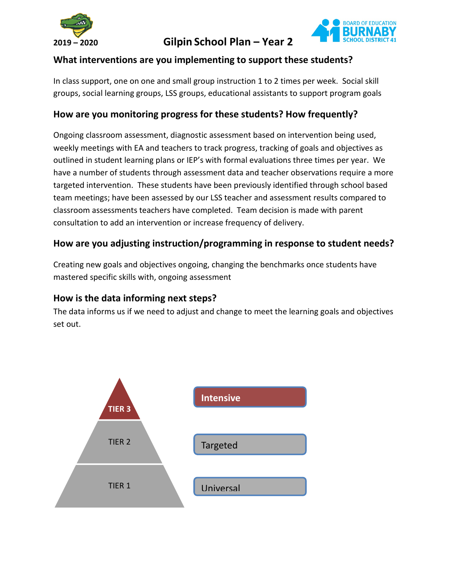



## **What interventions are you implementing to support these students?**

In class support, one on one and small group instruction 1 to 2 times per week. Social skill groups, social learning groups, LSS groups, educational assistants to support program goals

# **How are you monitoring progress for these students? How frequently?**

Ongoing classroom assessment, diagnostic assessment based on intervention being used, weekly meetings with EA and teachers to track progress, tracking of goals and objectives as outlined in student learning plans or IEP's with formal evaluations three times per year. We have a number of students through assessment data and teacher observations require a more targeted intervention. These students have been previously identified through school based team meetings; have been assessed by our LSS teacher and assessment results compared to classroom assessments teachers have completed. Team decision is made with parent consultation to add an intervention or increase frequency of delivery.

## **How are you adjusting instruction/programming in response to student needs?**

Creating new goals and objectives ongoing, changing the benchmarks once students have mastered specific skills with, ongoing assessment

## **How is the data informing next steps?**

The data informs us if we need to adjust and change to meet the learning goals and objectives set out.

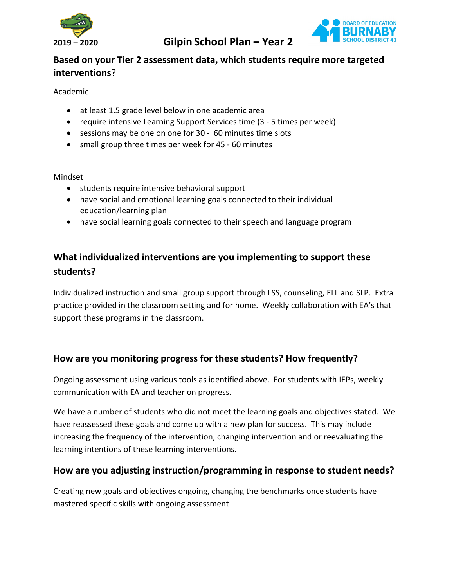



# **Based on your Tier 2 assessment data, which students require more targeted interventions**?

Academic

- at least 1.5 grade level below in one academic area
- require intensive Learning Support Services time (3 5 times per week)
- sessions may be one on one for 30 60 minutes time slots
- small group three times per week for 45 60 minutes

Mindset

- students require intensive behavioral support
- have social and emotional learning goals connected to their individual education/learning plan
- have social learning goals connected to their speech and language program

# **What individualized interventions are you implementing to support these students?**

Individualized instruction and small group support through LSS, counseling, ELL and SLP. Extra practice provided in the classroom setting and for home. Weekly collaboration with EA's that support these programs in the classroom.

# **How are you monitoring progress for these students? How frequently?**

Ongoing assessment using various tools as identified above. For students with IEPs, weekly communication with EA and teacher on progress.

We have a number of students who did not meet the learning goals and objectives stated. We have reassessed these goals and come up with a new plan for success. This may include increasing the frequency of the intervention, changing intervention and or reevaluating the learning intentions of these learning interventions.

# **How are you adjusting instruction/programming in response to student needs?**

Creating new goals and objectives ongoing, changing the benchmarks once students have mastered specific skills with ongoing assessment